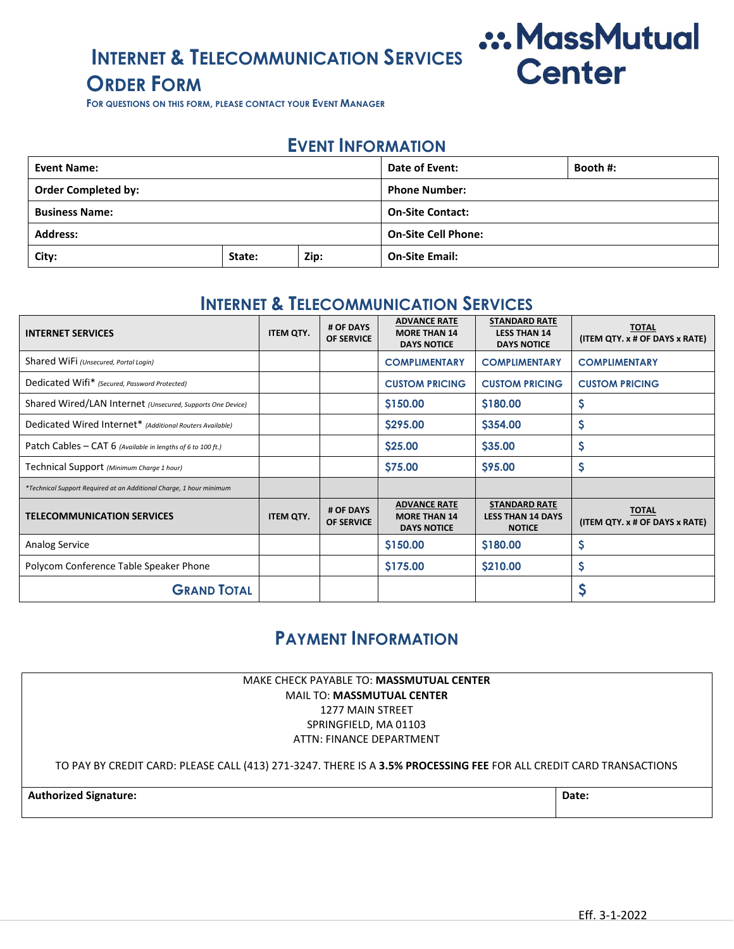**INTERNET & TELECOMMUNICATION SERVICES**

**ORDER FORM**

**FOR QUESTIONS ON THIS FORM, PLEASE CONTACT YOUR EVENT MANAGER**

## **EVENT INFORMATION**

| <b>Event Name:</b>         |        |      | Date of Event:             | Booth #: |  |
|----------------------------|--------|------|----------------------------|----------|--|
| <b>Order Completed by:</b> |        |      | <b>Phone Number:</b>       |          |  |
| <b>Business Name:</b>      |        |      | <b>On-Site Contact:</b>    |          |  |
| <b>Address:</b>            |        |      | <b>On-Site Cell Phone:</b> |          |  |
| City:                      | State: | Zip: | <b>On-Site Email:</b>      |          |  |

### **INTERNET & TELECOMMUNICATION SERVICES**

| <b>INTERNET SERVICES</b>                                            | <b>ITEM QTY.</b> | # OF DAYS<br><b>OF SERVICE</b> | <b>ADVANCE RATE</b><br><b>MORE THAN 14</b><br><b>DAYS NOTICE</b> | <b>STANDARD RATE</b><br><b>LESS THAN 14</b><br><b>DAYS NOTICE</b> | <b>TOTAL</b><br>(ITEM QTY. x # OF DAYS x RATE) |
|---------------------------------------------------------------------|------------------|--------------------------------|------------------------------------------------------------------|-------------------------------------------------------------------|------------------------------------------------|
| Shared WiFi (Unsecured, Portal Login)                               |                  |                                | <b>COMPLIMENTARY</b>                                             | <b>COMPLIMENTARY</b>                                              | <b>COMPLIMENTARY</b>                           |
| Dedicated Wifi* (Secured, Password Protected)                       |                  |                                | <b>CUSTOM PRICING</b>                                            | <b>CUSTOM PRICING</b>                                             | <b>CUSTOM PRICING</b>                          |
| Shared Wired/LAN Internet (Unsecured, Supports One Device)          |                  |                                | \$150.00                                                         | \$180.00                                                          | \$                                             |
| Dedicated Wired Internet* (Additional Routers Available)            |                  |                                | \$295.00                                                         | \$354.00                                                          | \$                                             |
| Patch Cables - CAT 6 (Available in lengths of 6 to 100 ft.)         |                  |                                | \$25.00                                                          | \$35.00                                                           | \$                                             |
| Technical Support (Minimum Charge 1 hour)                           |                  |                                | \$75.00                                                          | \$95.00                                                           | \$                                             |
| *Technical Support Required at an Additional Charge, 1 hour minimum |                  |                                |                                                                  |                                                                   |                                                |
| <b>TELECOMMUNICATION SERVICES</b>                                   | <b>ITEM QTY.</b> | # OF DAYS<br><b>OF SERVICE</b> | <b>ADVANCE RATE</b><br><b>MORE THAN 14</b><br><b>DAYS NOTICE</b> | <b>STANDARD RATE</b><br><b>LESS THAN 14 DAYS</b><br><b>NOTICE</b> | <b>TOTAL</b><br>(ITEM QTY. x # OF DAYS x RATE) |
| <b>Analog Service</b>                                               |                  |                                | \$150.00                                                         | \$180.00                                                          | \$                                             |
| Polycom Conference Table Speaker Phone                              |                  |                                | \$175.00                                                         | \$210.00                                                          | \$                                             |
| <b>GRAND TOTAL</b>                                                  |                  |                                |                                                                  |                                                                   | Ş                                              |

# **PAYMENT INFORMATION**

| MAKE CHECK PAYABLE TO: <b>MASSMUTUAL CENTER</b> |
|-------------------------------------------------|
| <b>MAIL TO: MASSMUTUAL CENTER</b>               |
| 1277 MAIN STRFFT                                |
| SPRINGFIELD, MA 01103                           |
| ATTN: FINANCE DEPARTMENT                        |

TO PAY BY CREDIT CARD: PLEASE CALL (413) 271-3247. THERE IS A **3.5% PROCESSING FEE** FOR ALL CREDIT CARD TRANSACTIONS

**Authorized Signature: Date:**

.:. MassMutual

**Center**